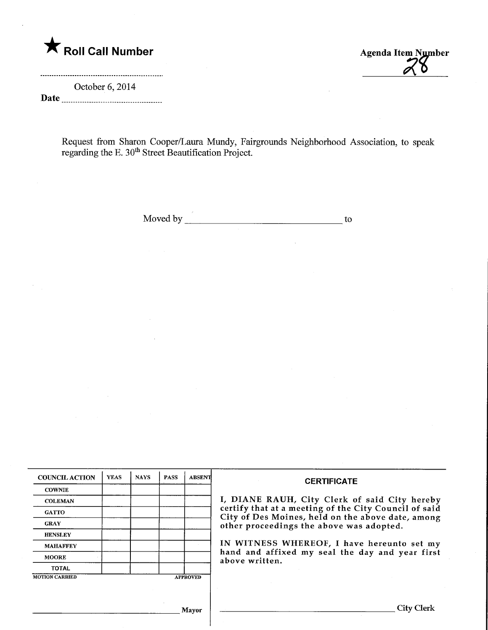Roll Call Number Agenda Item Number

October 6, 2014 Date

Request from Sharon Cooper/Laura Mundy, Fairgrounds Neighborhood Association, to speak regarding the E. 30<sup>th</sup> Street Beautification Project.

Moved by  $\qquad \qquad$  to to the two states of the total states of the total states of the total states of the total states of the total states of the total states of the total states of the total states of the total states of

| <b>COUNCIL ACTION</b> | <b>YEAS</b> | <b>NAYS</b> | <b>PASS</b> | <b>ABSENT</b>   | <b>CERTIFICATE</b>                                                                                                                                                                                      |  |  |
|-----------------------|-------------|-------------|-------------|-----------------|---------------------------------------------------------------------------------------------------------------------------------------------------------------------------------------------------------|--|--|
| <b>COWNIE</b>         |             |             |             |                 |                                                                                                                                                                                                         |  |  |
| <b>COLEMAN</b>        |             |             |             |                 | I, DIANE RAUH, City Clerk of said City hereby<br>certify that at a meeting of the City Council of said<br>City of Des Moines, held on the above date, among<br>other proceedings the above was adopted. |  |  |
| <b>GATTO</b>          |             |             |             |                 |                                                                                                                                                                                                         |  |  |
| <b>GRAY</b>           |             |             |             |                 |                                                                                                                                                                                                         |  |  |
| <b>HENSLEY</b>        |             |             |             |                 |                                                                                                                                                                                                         |  |  |
| <b>MAHAFFEY</b>       |             |             |             |                 | IN WITNESS WHEREOF, I have hereunto set my<br>hand and affixed my seal the day and year first<br>above written.                                                                                         |  |  |
| <b>MOORE</b>          |             |             |             |                 |                                                                                                                                                                                                         |  |  |
| <b>TOTAL</b>          |             |             |             |                 |                                                                                                                                                                                                         |  |  |
| <b>MOTION CARRIED</b> |             |             |             | <b>APPROVED</b> |                                                                                                                                                                                                         |  |  |
|                       |             |             |             |                 |                                                                                                                                                                                                         |  |  |
|                       |             |             |             |                 |                                                                                                                                                                                                         |  |  |
|                       |             |             |             | Mayor           | City Clerk                                                                                                                                                                                              |  |  |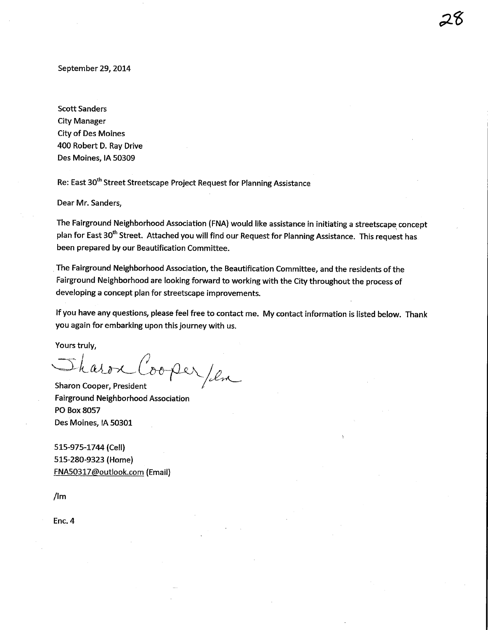September 29, 2014

Scott Sanders City Manager City of Des Moines 400 Robert D. Ray Drive Des Moines, IA 50309

Re: East 30<sup>th</sup> Street Streetscape Project Request for Planning Assistance

Dear Mr. Sanders,

The Fairground Neighborhood Association (FNA) would like assistance in initiating a streetscape concept plan for East 30<sup>th</sup> Street. Attached you will find our Request for Planning Assistance. This request has been prepared by our Beautification Committee.

The Fairground Neighborhood Association, the Beautification Committee, and the residents of the Fairground Neighborhood are looking forward to working with the City throughout the process of developing a concept plan for streetscape improvements.

If you have any questions, please feel free to contact me. My contact information is listed below. Thank you again for embarking upon this journey with us.

Yours truly,

 $h$  as  $r$ ooper/en

Sharon Cooper, President Fairground Neighborhood Association PO Box 8057 Des Moines, IA 50301

515-975-1744 (Cell) 515-280-9323 (Home) FNA50317@outlook.com (Email)

/lm

Enc.4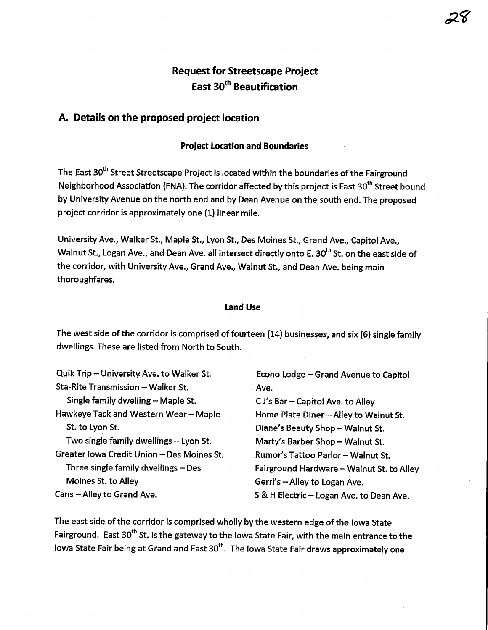## Request for Streetscape Project East 30<sup>th</sup> Beautification

#### A. Details on the proposed project location

#### Project Location and Boundaries

The East 30<sup>th</sup> Street Streetscape Project is located within the boundaries of the Fairground Neighborhood Association (FNA). The corridor affected by this project is East 30<sup>th</sup> Street bound by University Avenue on the north end and by Dean Avenue on the south end. The proposed project corridor is approximately one (1) linear mile.

University Ave., Walker St., Maple St, Lyon St., Des Moines St., Grand Ave., Capitol Ave., Walnut St., Logan Ave., and Dean Ave. all intersect directly onto E. 30<sup>th</sup> St. on the east side of the corridor, with University Ave., Grand Ave., Walnut St., and Dean Ave. being main thoroughfares.

#### Land Use

The west side of the corridor is comprised of fourteen (14) businesses, and six (6) single family dwellings. These are listed from North to South.

| Quik Trip - University Ave. to Walker St.  | Econo Lodge - Grand Avenue to Capitol     |
|--------------------------------------------|-------------------------------------------|
| Sta-Rite Transmission - Walker St.         | : Ave.                                    |
| Single family dwelling - Maple St.         | $C J's Bar - Capital Ave.$ to Alley       |
| Hawkeye Tack and Western Wear - Maple      | Home Plate Diner - Alley to Walnut St.    |
| St. to Lyon St.                            | Diane's Beauty Shop - Walnut St.          |
| Two single family dwellings - Lyon St.     | Marty's Barber Shop - Walnut St.          |
| Greater Iowa Credit Union - Des Moines St. | Rumor's Tattoo Parlor - Walnut St.        |
| Three single family dwellings - Des        | Fairground Hardware - Walnut St. to Alley |
| Moines St. to Alley                        | Gerri's - Alley to Logan Ave.             |
| Cans - Alley to Grand Ave.                 | S & H Electric - Logan Ave. to Dean Ave.  |

The east side of the corridor is comprised wholly by the western edge of the Iowa State Fairground. East 30<sup>th</sup> St. is the gateway to the Iowa State Fair, with the main entrance to the Iowa State Fair being at Grand and East 30<sup>th</sup>. The Iowa State Fair draws approximately one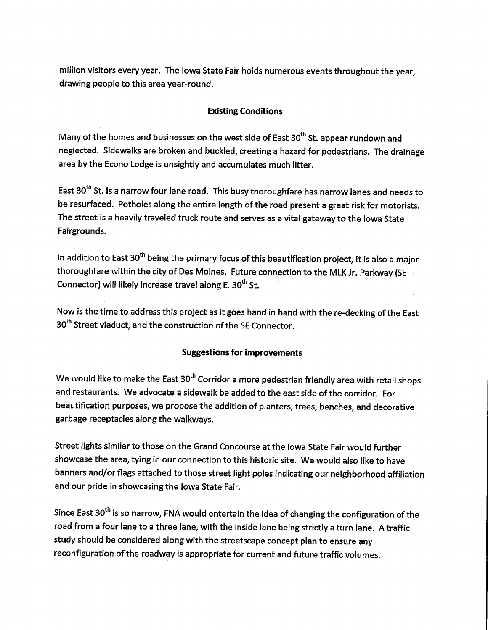million visitors every year. The Iowa State Fair holds numerous events throughout the year, drawing people to this area year-round.

#### Existing Conditions

Many of the homes and businesses on the west side of East  $30<sup>th</sup>$  St. appear rundown and neglected. Sidewalks are broken and buckled, creating a hazard for pedestrians. The drainage area by the Econo Lodge is unsightly and accumulates much litter.

East 30<sup>th</sup> St. is a narrow four lane road. This busy thoroughfare has narrow lanes and needs to be resurfaced. Potholes along the entire length of the road present a great risk for motorists. The street is a heavily traveled truck route and serves as a vital gateway to the Iowa State Fairgrounds.

In addition to East  $30^{th}$  being the primary focus of this beautification project, it is also a major thoroughfare within the city of Des Moines. Future connection to the MLK Jr. Parkway (SE Connector) will likely increase travel along E.  $30<sup>th</sup>$  St.

Now is the time to address this project as it goes hand in hand with the re-decking of the East 30<sup>th</sup> Street viaduct, and the construction of the SE Connector.

#### Suggestions for improvements

We would like to make the East  $30^{th}$  Corridor a more pedestrian friendly area with retail shops and restaurants. We advocate a sidewalk be added to the east side of the corridor. For beautification purposes, we propose the addition of planters, trees, benches, and decorative garbage receptacles along the walkways.

Street lights similar to those on the Grand Concourse at the Iowa State Fair would further showcase the area, tying in our connection to this historic site. We would also like to have banners and/or flags attached to those street light poles indicating our neighborhood affiliation and our pride in showcasing the Iowa State Fair.

Since East 30<sup>th</sup> is so narrow, FNA would entertain the idea of changing the configuration of the road from a four lane to a three lane, with the inside lane being strictly a turn lane. A traffic study should be considered along with the streetscape concept plan to ensure any reconfiguration of the roadway is appropriate for current and future traffic volumes.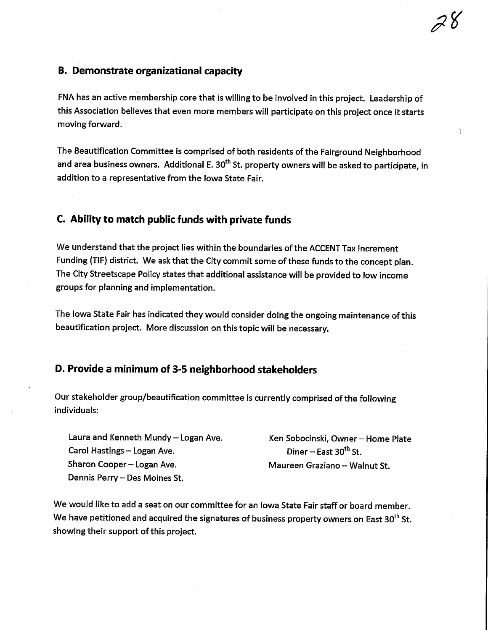FNA has an active membership core that is willing to be involved in this project. Leadership of this Association believes that even more members will participate on this project once it starts moving forward.

The Beautification Committee is comprised of both residents of the Fairground Neighborhood and area business owners. Additional E. 30<sup>th</sup> St. property owners will be asked to participate, in addition to a representative from the Iowa State Fair.

#### C. Ability to match public funds with private funds

We understand that the project lies within the boundaries of the ACCENT Tax Increment Funding (TIF) district. We ask that the City commit some of these funds to the concept plan. The City Streetscape Policy states that additional assistance will be provided to low income groups for planning and implementation.

The Iowa State Fair has indicated they would consider doing the ongoing maintenance of this beautification project. More discussion on this topic will be necessary.

### D. Provide a minimum of 3-5 neighborhood stakeholders

Our stakeholder group/beautification committee is currently comprised of the following individuals:

Laura and Kenneth Mundy - Logan Ave. Carol Hastings - Logan Ave. Sharon Cooper - Logan Ave. Dennis Perry - Des Moines St.

Ken Sobocinski, Owner- Home Plate Diner – East  $30<sup>th</sup>$  St. Maureen Graziano - Walnut St.

We would like to add a seat on our committee for an Iowa State Fair staff or board member. We have petitioned and acquired the signatures of business property owners on East  $30^{th}$  St. showing their support of this project.